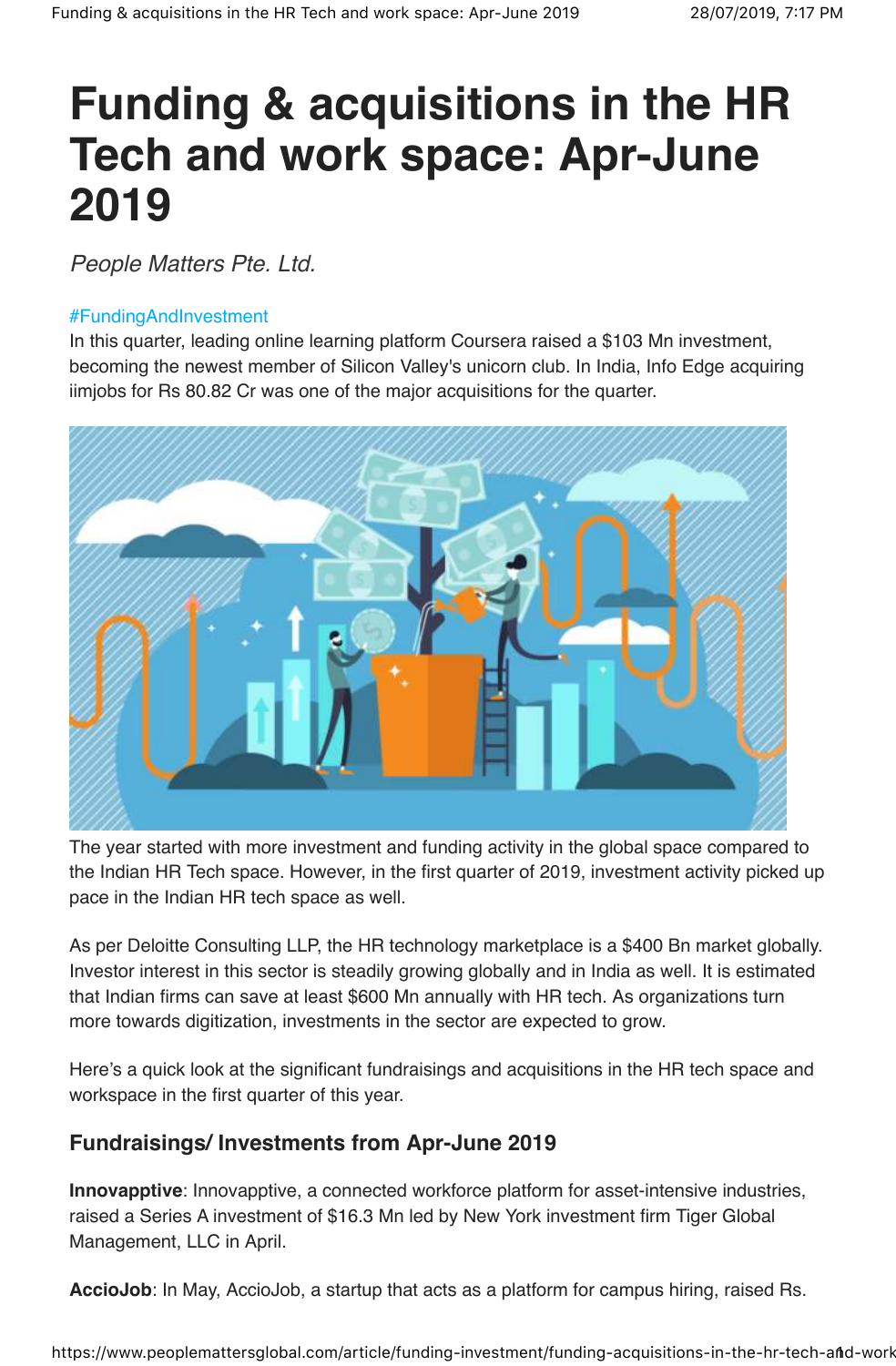## **Funding & acquisitions in the HR Tech and work space: Apr-June 2019**

People Matters Pte. Ltd.

## #FundingAndInvestment

In this quarter, leading online learning platform Coursera raised a \$103 Mn investment, becoming the newest member of Silicon Valley's unicorn club. In India, Info Edge acquiring iimjobs for Rs 80.82 Cr was one of the major acquisitions for the quarter.



The year started with more investment and funding activity in the global space compared to the Indian HR Tech space. However, in the first quarter of 2019, investment activity picked up pace in the Indian HR tech space as well.

As per Deloitte Consulting LLP, the HR technology marketplace is a \$400 Bn market globally. Investor interest in this sector is steadily growing globally and in India as well. It is estimated that Indian firms can save at least \$600 Mn annually with HR tech. As organizations turn more towards digitization, investments in the sector are expected to grow.

Here's a quick look at the significant fundraisings and acquisitions in the HR tech space and workspace in the first quarter of this year.

## **Fundraisings/ Investments from Apr-June 2019**

**Innovapptive**: Innovapptive, a connected workforce platform for asset-intensive industries, raised a Series A investment of \$16.3 Mn led by New York investment firm Tiger Global Management, LLC in April.

**AccioJob**: In May, AccioJob, a startup that acts as a platform for campus hiring, raised Rs.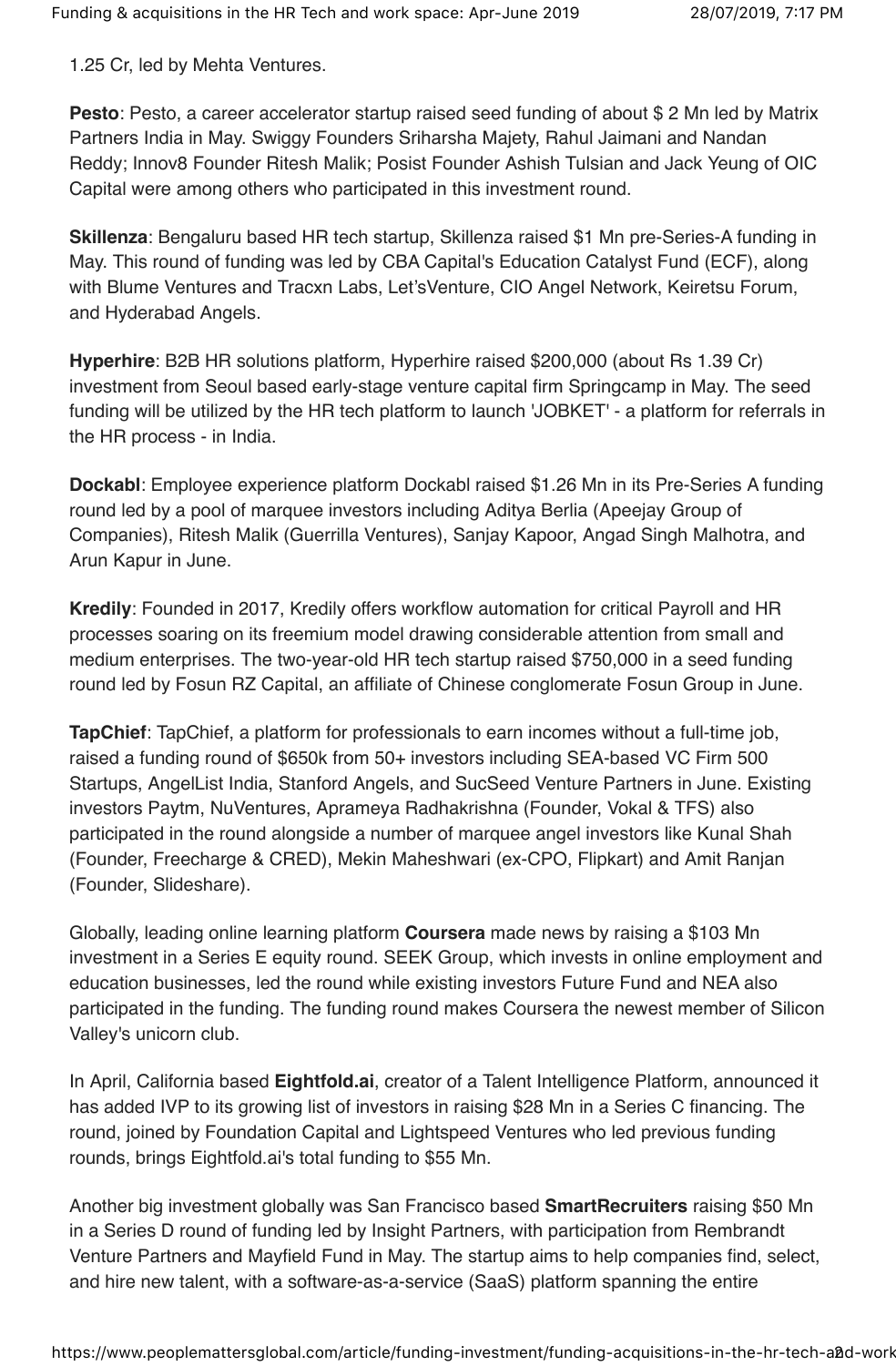1.25 Cr, led by Mehta Ventures.

**Pesto**: Pesto, a career accelerator startup raised seed funding of about \$ 2 Mn led by Matrix Partners India in May. Swiggy Founders Sriharsha Majety, Rahul Jaimani and Nandan Reddy; Innov8 Founder Ritesh Malik; Posist Founder Ashish Tulsian and Jack Yeung of OIC Capital were among others who participated in this investment round.

**Skillenza**: Bengaluru based HR tech startup, Skillenza raised \$1 Mn pre-Series-A funding in May. This round of funding was led by CBA Capital's Education Catalyst Fund (ECF), along with Blume Ventures and Tracxn Labs, Let'sVenture, CIO Angel Network, Keiretsu Forum, and Hyderabad Angels.

**Hyperhire**: B2B HR solutions platform, Hyperhire raised \$200,000 (about Rs 1.39 Cr) investment from Seoul based early-stage venture capital firm Springcamp in May. The seed funding will be utilized by the HR tech platform to launch 'JOBKET' - a platform for referrals in the HR process - in India.

**Dockabl**: Employee experience platform Dockabl raised \$1.26 Mn in its Pre-Series A funding round led by a pool of marquee investors including Aditya Berlia (Apeejay Group of Companies), Ritesh Malik (Guerrilla Ventures), Sanjay Kapoor, Angad Singh Malhotra, and Arun Kapur in June.

**Kredily**: Founded in 2017, Kredily offers workflow automation for critical Payroll and HR processes soaring on its freemium model drawing considerable attention from small and medium enterprises. The two-year-old HR tech startup raised \$750,000 in a seed funding round led by Fosun RZ Capital, an affiliate of Chinese conglomerate Fosun Group in June.

**TapChief**: TapChief, a platform for professionals to earn incomes without a full-time job, raised a funding round of \$650k from 50+ investors including SEA-based VC Firm 500 Startups, AngelList India, Stanford Angels, and SucSeed Venture Partners in June. Existing investors Paytm, NuVentures, Aprameya Radhakrishna (Founder, Vokal & TFS) also participated in the round alongside a number of marquee angel investors like Kunal Shah (Founder, Freecharge & CRED), Mekin Maheshwari (ex-CPO, Flipkart) and Amit Ranjan (Founder, Slideshare).

Globally, leading online learning platform **Coursera** made news by raising a \$103 Mn investment in a Series E equity round. SEEK Group, which invests in online employment and education businesses, led the round while existing investors Future Fund and NEA also participated in the funding. The funding round makes Coursera the newest member of Silicon Valley's unicorn club.

In April, California based **Eightfold.ai**, creator of a Talent Intelligence Platform, announced it has added IVP to its growing list of investors in raising \$28 Mn in a Series C financing. The round, joined by Foundation Capital and Lightspeed Ventures who led previous funding rounds, brings Eightfold.ai's total funding to \$55 Mn.

Another big investment globally was San Francisco based **SmartRecruiters** raising \$50 Mn in a Series D round of funding led by Insight Partners, with participation from Rembrandt Venture Partners and Mayfield Fund in May. The startup aims to help companies find, select, and hire new talent, with a software-as-a-service (SaaS) platform spanning the entire